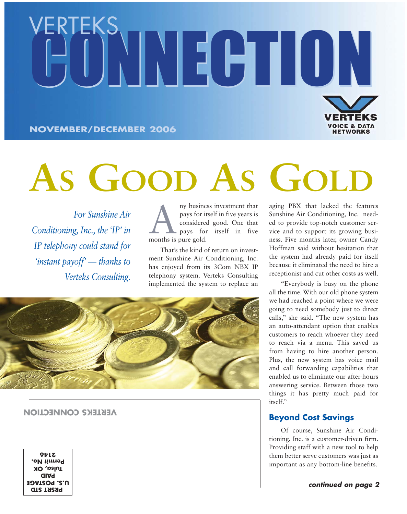# EKS<br>ONNECTION **VOICE & DATA<br>NETWORKS NOVEMBER/DECEMBER 2006**

# **AS GOOD AS GOLD**

*For Sunshine Air Conditioning, Inc., the 'IP' in IP telephony could stand for 'instant payoff' — thanks to Verteks Consulting.*

Any business investment that<br>pays for itself in five years is<br>considered good. One that<br>pays for itself in five<br>months is pure gold pays for itself in five years is considered good. One that pays for itself in five months is pure gold.

That's the kind of return on investment Sunshine Air Conditioning, Inc. has enjoyed from its 3Com NBX IP telephony system. Verteks Consulting implemented the system to replace an



#### **VERTEKS CONNECTION**

**PAID Tulsa, OK Permit No. 2146**

aging PBX that lacked the features Sunshine Air Conditioning, Inc. needed to provide top-notch customer service and to support its growing business. Five months later, owner Candy Hoffman said without hesitation that the system had already paid for itself because it eliminated the need to hire a receptionist and cut other costs as well.

"Everybody is busy on the phone all the time. With our old phone system we had reached a point where we were going to need somebody just to direct calls," she said. "The new system has an auto-attendant option that enables customers to reach whoever they need to reach via a menu. This saved us from having to hire another person. Plus, the new system has voice mail and call forwarding capabilities that enabled us to eliminate our after-hours answering service. Between those two things it has pretty much paid for itself."

## **Beyond Cost Savings**

Of course, Sunshine Air Conditioning, Inc. is a customer-driven firm. Providing staff with a new tool to help them better serve customers was just as important as any bottom-line benefits.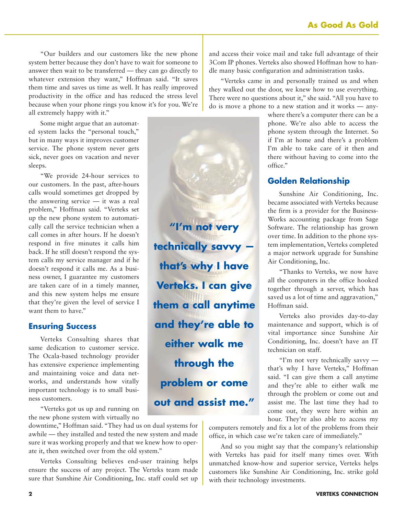"Our builders and our customers like the new phone system better because they don't have to wait for someone to answer then wait to be transferred — they can go directly to whatever extension they want," Hoffman said. "It saves them time and saves us time as well. It has really improved productivity in the office and has reduced the stress level because when your phone rings you know it's for you. We're all extremely happy with it."

Some might argue that an automated system lacks the "personal touch," but in many ways it improves customer service. The phone system never gets sick, never goes on vacation and never sleeps.

"We provide 24-hour services to our customers. In the past, after-hours calls would sometimes get dropped by the answering service — it was a real problem," Hoffman said. "Verteks set up the new phone system to automatically call the service technician when a call comes in after hours. If he doesn't respond in five minutes it calls him back. If he still doesn't respond the system calls my service manager and if he doesn't respond it calls me. As a business owner, I guarantee my customers are taken care of in a timely manner, and this new system helps me ensure that they're given the level of service I want them to have."

### **Ensuring Success**

Verteks Consulting shares that same dedication to customer service. The Ocala-based technology provider has extensive experience implementing and maintaining voice and data networks, and understands how vitally important technology is to small business customers.

"Verteks got us up and running on the new phone system with virtually no

downtime," Hoffman said. "They had us on dual systems for awhile — they installed and tested the new system and made sure it was working properly and that we knew how to operate it, then switched over from the old system."

Verteks Consulting believes end-user training helps ensure the success of any project. The Verteks team made sure that Sunshine Air Conditioning, Inc. staff could set up and access their voice mail and take full advantage of their 3Com IP phones. Verteks also showed Hoffman how to handle many basic configuration and administration tasks.

"Verteks came in and personally trained us and when they walked out the door, we knew how to use everything. There were no questions about it," she said. "All you have to do is move a phone to a new station and it works — any-

> where there's a computer there can be a phone. We're also able to access the phone system through the Internet. So if I'm at home and there's a problem I'm able to take care of it then and there without having to come into the office."

## **Golden Relationship**

**"I'm not very**

**technically savvy —**

**that's why I have**

**Verteks. I can give**

**them a call anytime**

**and they're able to**

**either walk me**

**through the**

**problem or come**

**out and assist me."**

Sunshine Air Conditioning, Inc. became associated with Verteks because the firm is a provider for the Business-Works accounting package from Sage Software. The relationship has grown over time. In addition to the phone system implementation, Verteks completed a major network upgrade for Sunshine Air Conditioning, Inc.

"Thanks to Verteks, we now have all the computers in the office hooked together through a server, which has saved us a lot of time and aggravation," Hoffman said.

Verteks also provides day-to-day maintenance and support, which is of vital importance since Sunshine Air Conditioning, Inc. doesn't have an IT technician on staff.

"I'm not very technically savvy that's why I have Verteks," Hoffman said. "I can give them a call anytime and they're able to either walk me through the problem or come out and assist me. The last time they had to come out, they were here within an hour. They're also able to access my

computers remotely and fix a lot of the problems from their office, in which case we're taken care of immediately."

And so you might say that the company's relationship with Verteks has paid for itself many times over. With unmatched know-how and superior service, Verteks helps customers like Sunshine Air Conditioning, Inc. strike gold with their technology investments.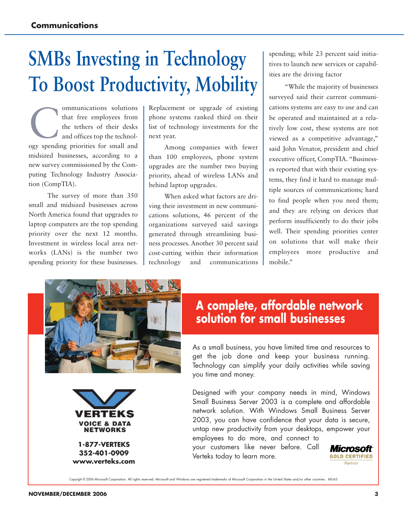# **SMBs Investing in Technology To Boost Productivity, Mobility**

ommunications solutions<br>that free employees from<br>the tethers of their desks<br>and offices top the technolthat free employees from the tethers of their desks and offices top the technology spending priorities for small and midsized businesses, according to a new survey commissioned by the Computing Technology Industry Association (CompTIA).

The survey of more than 350 small and midsized businesses across North America found that upgrades to laptop computers are the top spending priority over the next 12 months. Investment in wireless local area networks (LANs) is the number two spending priority for these businesses. Replacement or upgrade of existing phone systems ranked third on their list of technology investments for the next year.

Among companies with fewer than 100 employees, phone system upgrades are the number two buying priority, ahead of wireless LANs and behind laptop upgrades.

When asked what factors are driving their investment in new communications solutions, 46 percent of the organizations surveyed said savings generated through streamlining business processes. Another 30 percent said cost-cutting within their information technology and communications spending; while 23 percent said initiatives to launch new services or capabilities are the driving factor

"While the majority of businesses surveyed said their current communications systems are easy to use and can be operated and maintained at a relatively low cost, these systems are not viewed as a competitive advantage," said John Venator, president and chief executive officer, CompTIA. "Businesses reported that with their existing systems, they find it hard to manage multiple sources of communications; hard to find people when you need them; and they are relying on devices that perform insufficiently to do their jobs well. Their spending priorities center on solutions that will make their employees more productive and mobile."





**352-401-0909 www.verteks.com**

# **A complete, affordable network solution for small businesses**

As a small business, you have limited time and resources to get the job done and keep your business running. Technology can simplify your daily activities while saving you time and money.

Designed with your company needs in mind, Windows Small Business Server 2003 is a complete and affordable network solution. With Windows Small Business Server 2003, you can have confidence that your data is secure, untap new productivity from your desktops, empower your employees to do more, and connect to

your customers like never before. Call Verteks today to learn more.

*Microsoft* **GOLD CERTIFIED** Partner

Copyright © 2006 Microsoft Corporation. All rights reserved. Microsoft and Windows are registered trademarks of Microsoft Corporation in the United States and/or other countries. MS-65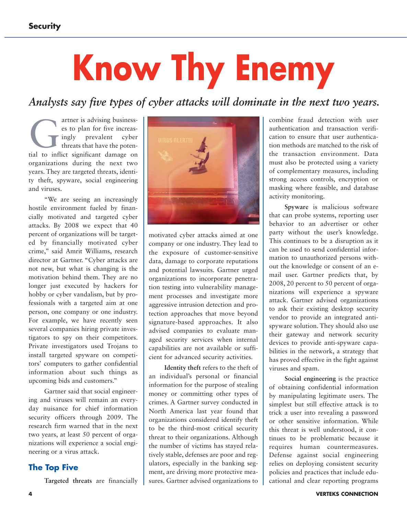# **Know Thy Enemy**

*Analysts say five types of cyber attacks will dominate in the next two years.*

artner is advising business-<br>
es to plan for five increas-<br>
ingly prevalent cyber<br>
threats that have the poten-<br>
tial to inflict significant damage on es to plan for five increasingly prevalent cyber threats that have the potenorganizations during the next two years. They are targeted threats, identity theft, spyware, social engineering and viruses.

"We are seeing an increasingly hostile environment fueled by financially motivated and targeted cyber attacks. By 2008 we expect that 40 percent of organizations will be targeted by financially motivated cyber crime," said Amrit Williams, research director at Gartner. "Cyber attacks are not new, but what is changing is the motivation behind them. They are no longer just executed by hackers for hobby or cyber vandalism, but by professionals with a targeted aim at one person, one company or one industry. For example, we have recently seen several companies hiring private investigators to spy on their competitors. Private investigators used Trojans to install targeted spyware on competitors' computers to gather confidential information about such things as upcoming bids and customers."

Gartner said that social engineering and viruses will remain an everyday nuisance for chief information security officers through 2009. The research firm warned that in the next two years, at least 50 percent of organizations will experience a social engineering or a virus attack.

#### **The Top Five**

**Targeted threats** are financially



motivated cyber attacks aimed at one company or one industry. They lead to the exposure of customer-sensitive data, damage to corporate reputations and potential lawsuits. Gartner urged organizations to incorporate penetration testing into vulnerability management processes and investigate more aggressive intrusion detection and protection approaches that move beyond signature-based approaches. It also advised companies to evaluate managed security services when internal capabilities are not available or sufficient for advanced security activities.

**Identity theft** refers to the theft of an individual's personal or financial information for the purpose of stealing money or committing other types of crimes. A Gartner survey conducted in North America last year found that organizations considered identify theft to be the third-most critical security threat to their organizations. Although the number of victims has stayed relatively stable, defenses are poor and regulators, especially in the banking segment, are driving more protective measures. Gartner advised organizations to

combine fraud detection with user authentication and transaction verification to ensure that user authentication methods are matched to the risk of the transaction environment. Data must also be protected using a variety of complementary measures, including strong access controls, encryption or masking where feasible, and database activity monitoring.

**Spyware** is malicious software that can probe systems, reporting user behavior to an advertiser or other party without the user's knowledge. This continues to be a disruption as it can be used to send confidential information to unauthorized persons without the knowledge or consent of an email user. Gartner predicts that, by 2008, 20 percent to 50 percent of organizations will experience a spyware attack. Gartner advised organizations to ask their existing desktop security vendor to provide an integrated antispyware solution. They should also use their gateway and network security devices to provide anti-spyware capabilities in the network, a strategy that has proved effective in the fight against viruses and spam.

**Social engineering** is the practice of obtaining confidential information by manipulating legitimate users. The simplest but still effective attack is to trick a user into revealing a password or other sensitive information. While this threat is well understood, it continues to be problematic because it requires human countermeasures. Defense against social engineering relies on deploying consistent security policies and practices that include educational and clear reporting programs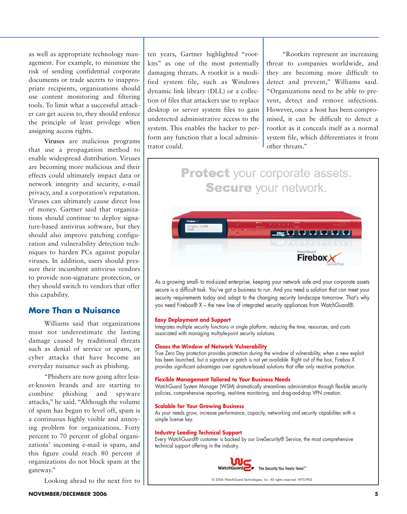as well as appropriate technology management. For example, to minimize the risk of sending confidential corporate documents or trade secrets to inappropriate recipients, organizations should use content monitoring and filtering tools. To limit what a successful attacker can get access to, they should enforce the principle of least privilege when assigning access rights.

**Viruses** are malicious programs that use a propagation method to enable widespread distribution. Viruses are becoming more malicious and their effects could ultimately impact data or network integrity and security, e-mail privacy, and a corporation's reputation. Viruses can ultimately cause direct loss of money. Gartner said that organizations should continue to deploy signature-based antivirus software, but they should also improve patching configuration and vulnerability detection techniques to harden PCs against popular viruses. In addition, users should pressure their incumbent antivirus vendors to provide non-signature protection, or they should switch to vendors that offer this capability.

### **More Than a Nuisance**

Williams said that organizations must not underestimate the lasting damage caused by traditional threats such as denial of service or spam, or cyber attacks that have become an everyday nuisance such as phishing.

"Phishers are now going after lesser-known brands and are starting to combine phishing and spyware attacks," he said. "Although the volume of spam has begun to level off, spam is a continuous highly visible and annoying problem for organizations. Forty percent to 70 percent of global organizations' incoming e-mail is spam, and this figure could reach 80 percent if organizations do not block spam at the gateway."

Looking ahead to the next five to

ten years, Gartner highlighted "rootkits" as one of the most potentially damaging threats. A rootkit is a modified system file, such as Windows dynamic link library (DLL) or a collection of files that attackers use to replace desktop or server system files to gain undetected administrative access to the system. This enables the hacker to perform any function that a local administrator could.

"Rootkits represent an increasing threat to companies worldwide, and they are becoming more difficult to detect and prevent," Williams said. "Organizations need to be able to prevent, detect and remove infections. However, once a host has been compromised, it can be difficult to detect a rootkit as it conceals itself as a normal system file, which differentiates it from other threats."

# **Protect** your corporate assets. **Secure** your network.



As a growing small- to mid-sized enterprise, keeping your network safe and your corporate assets secure is a difficult task. You've got a business to run. And you need a solution that can meet your security requirements today and adapt to the changing security landscape tomorrow. That's why you need Firebox® X – the new line of integrated security appliances from WatchGuard®.

#### **Easy Deployment and Support**

Integrates multiple security functions in single platform, reducing the time, resources, and costs associated with managing multiple-point security solutions.

#### **Closes the Window of Network Vulnerability**

True Zero Day protection provides protection during the window of vulnerability, when a new exploit has been launched, but a signature or patch is not yet available. Right out of the box, Firebox X provides significant advantages over signature-based solutions that offer only reactive protection.

#### **Flexible Management Tailored to Your Business Needs**

WatchGuard System Manager (WSM) dramatically streamlines administration through flexible security policies, comprehensive reporting, real-time monitoring, and drag-and-drop VPN creation.

#### **Scalable for Your Growing Business**

As your needs grow, increase performance, capacity, networking and security capabilites with a simple license key.

#### **Industry Leading Technical Support**

Every WatchGuard<sup>®</sup> customer is backed by our LiveSecurity® Service, the most comprehensive technical support offering in the industry.



WatchGuard For The Security You Really Need."

© 2006 WatchGuard Technologies, Inc. All rights reserved. WTG-902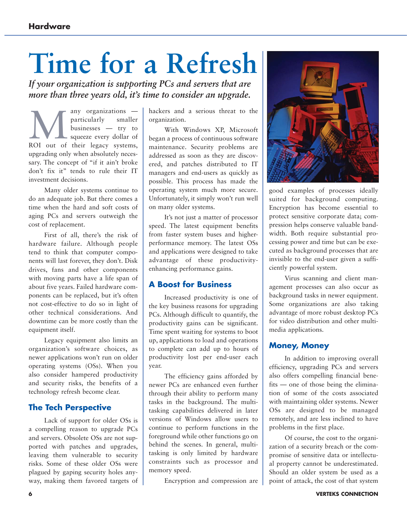# **Time for a Refresh**

*If your organization is supporting PCs and servers that are more than three years old, it's time to consider an upgrade.*

Many organizations —<br>
particularly smaller<br>
businesses — try to<br>
squeeze every dollar of<br>
ROI out of their legacy systems, particularly smaller businesses — try to squeeze every dollar of upgrading only when absolutely necessary. The concept of "if it ain't broke don't fix it" tends to rule their IT investment decisions.

Many older systems continue to do an adequate job. But there comes a time when the hard and soft costs of aging PCs and servers outweigh the cost of replacement.

First of all, there's the risk of hardware failure. Although people tend to think that computer components will last forever, they don't. Disk drives, fans and other components with moving parts have a life span of about five years. Failed hardware components can be replaced, but it's often not cost-effective to do so in light of other technical considerations. And downtime can be more costly than the equipment itself.

Legacy equipment also limits an organization's software choices, as newer applications won't run on older operating systems (OSs). When you also consider hampered productivity and security risks, the benefits of a technology refresh become clear.

# **The Tech Perspective**

Lack of support for older OSs is a compelling reason to upgrade PCs and servers. Obsolete OSs are not supported with patches and upgrades, leaving them vulnerable to security risks. Some of these older OSs were plagued by gaping security holes anyway, making them favored targets of hackers and a serious threat to the organization.

With Windows XP, Microsoft began a process of continuous software maintenance. Security problems are addressed as soon as they are discovered, and patches distributed to IT managers and end-users as quickly as possible. This process has made the operating system much more secure. Unfortunately, it simply won't run well on many older systems.

It's not just a matter of processor speed. The latest equipment benefits from faster system buses and higherperformance memory. The latest OSs and applications were designed to take advantage of these productivityenhancing performance gains.

## **A Boost for Business**

Increased productivity is one of the key business reasons for upgrading PCs. Although difficult to quantify, the productivity gains can be significant. Time spent waiting for systems to boot up, applications to load and operations to complete can add up to hours of productivity lost per end-user each year.

The efficiency gains afforded by newer PCs are enhanced even further through their ability to perform many tasks in the background. The multitasking capabilities delivered in later versions of Windows allow users to continue to perform functions in the foreground while other functions go on behind the scenes. In general, multitasking is only limited by hardware constraints such as processor and memory speed.

Encryption and compression are



good examples of processes ideally suited for background computing. Encryption has become essential to protect sensitive corporate data; compression helps conserve valuable bandwidth. Both require substantial processing power and time but can be executed as background processes that are invisible to the end-user given a sufficiently powerful system.

Virus scanning and client management processes can also occur as background tasks in newer equipment. Some organizations are also taking advantage of more robust desktop PCs for video distribution and other multimedia applications.

# **Money, Money**

In addition to improving overall efficiency, upgrading PCs and servers also offers compelling financial benefits — one of those being the elimination of some of the costs associated with maintaining older systems. Newer OSs are designed to be managed remotely, and are less inclined to have problems in the first place.

Of course, the cost to the organization of a security breach or the compromise of sensitive data or intellectual property cannot be underestimated. Should an older system be used as a point of attack, the cost of that system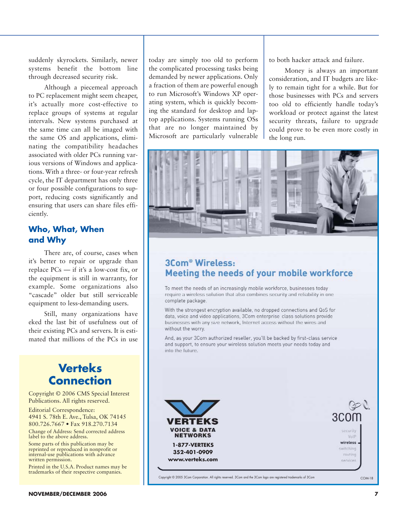suddenly skyrockets. Similarly, newer systems benefit the bottom line through decreased security risk.

Although a piecemeal approach to PC replacement might seem cheaper, it's actually more cost-effective to replace groups of systems at regular intervals. New systems purchased at the same time can all be imaged with the same OS and applications, eliminating the compatibility headaches associated with older PCs running various versions of Windows and applications. With a three- or four-year refresh cycle, the IT department has only three or four possible configurations to support, reducing costs significantly and ensuring that users can share files efficiently.

# **Who, What, When and Why**

There are, of course, cases when it's better to repair or upgrade than replace PCs — if it's a low-cost fix, or the equipment is still in warranty, for example. Some organizations also "cascade" older but still serviceable equipment to less-demanding users.

Still, many organizations have eked the last bit of usefulness out of their existing PCs and servers. It is estimated that millions of the PCs in use

# **Verteks Connection**

Copyright © 2006 CMS Special Interest Publications. All rights reserved.

Editorial Correspondence: 4941 S. 78th E. Ave., Tulsa, OK 74145 800.726.7667 • Fax 918.270.7134

Change of Address: Send corrected address label to the above address.

Some parts of this publication may be reprinted or reproduced in nonprofit or internal-use publications with advance written permission.

Printed in the U.S.A. Product names may be trademarks of their respective companies.

today are simply too old to perform the complicated processing tasks being demanded by newer applications. Only a fraction of them are powerful enough to run Microsoft's Windows XP operating system, which is quickly becoming the standard for desktop and laptop applications. Systems running OSs that are no longer maintained by Microsoft are particularly vulnerable to both hacker attack and failure.

Money is always an important consideration, and IT budgets are likely to remain tight for a while. But for those businesses with PCs and servers too old to efficiently handle today's workload or protect against the latest security threats, failure to upgrade could prove to be even more costly in the long run.



# 3Com<sup>®</sup> Wireless: Meeting the needs of your mobile workforce

To meet the needs of an increasingly mobile workforce, businesses today require a wireless solution that also combines security and reliability in one complete package.

With the strongest encryption available, no dropped connections and QoS for data, voice and video applications, 3Com enterprise class solutions provide businesses with any size network, Internet access without the wires and without the worry.

And, as your 3Com authorized reseller, you'll be backed by first-class service and support, to ensure your wireless solution meets your needs today and into the future.